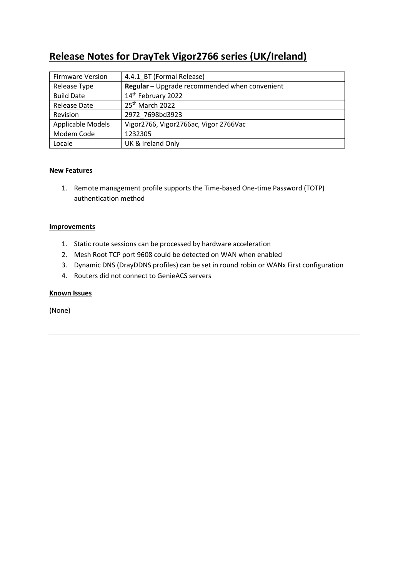# **Release Notes for DrayTek Vigor2766 series (UK/Ireland)**

| <b>Firmware Version</b>  | 4.4.1_BT (Formal Release)                     |
|--------------------------|-----------------------------------------------|
| Release Type             | Regular - Upgrade recommended when convenient |
| <b>Build Date</b>        | 14 <sup>th</sup> February 2022                |
| <b>Release Date</b>      | 25th March 2022                               |
| Revision                 | 2972 7698bd3923                               |
| <b>Applicable Models</b> | Vigor2766, Vigor2766ac, Vigor 2766Vac         |
| Modem Code               | 1232305                                       |
| Locale                   | UK & Ireland Only                             |

# **New Features**

1. Remote management profile supports the Time-based One-time Password (TOTP) authentication method

#### **Improvements**

- 1. Static route sessions can be processed by hardware acceleration
- 2. Mesh Root TCP port 9608 could be detected on WAN when enabled
- 3. Dynamic DNS (DrayDDNS profiles) can be set in round robin or WANx First configuration
- 4. Routers did not connect to GenieACS servers

# **Known Issues**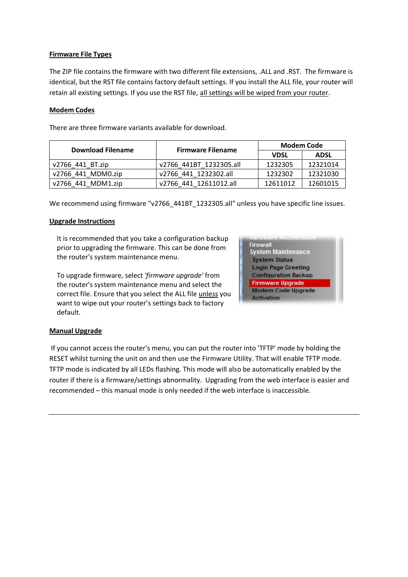# **Firmware File Types**

The ZIP file contains the firmware with two different file extensions, .ALL and .RST. The firmware is identical, but the RST file contains factory default settings. If you install the ALL file, your router will retain all existing settings. If you use the RST file, all settings will be wiped from your router.

# **Modem Codes**

There are three firmware variants available for download.

| <b>Download Filename</b> |                          | <b>Modem Code</b> |             |
|--------------------------|--------------------------|-------------------|-------------|
|                          | <b>Firmware Filename</b> | <b>VDSL</b>       | <b>ADSL</b> |
| v2766 441 BT.zip         | v2766 441BT 1232305.all  | 1232305           | 12321014    |
| v2766 441 MDM0.zip       | v2766 441 1232302.all    | 1232302           | 12321030    |
| v2766 441 MDM1.zip       | v2766 441 12611012.all   | 12611012          | 12601015    |

We recommend using firmware "v2766\_441BT\_1232305.all" unless you have specific line issues.

# **Upgrade Instructions**

It is recommended that you take a configuration backup prior to upgrading the firmware. This can be done from the router's system maintenance menu.

To upgrade firmware, select *'firmware upgrade'* from the router's system maintenance menu and select the correct file. Ensure that you select the ALL file unless you want to wipe out your router's settings back to factory default.

| <b>BERRY ALBERTANCE PRODUCT</b><br>Firewall |  |
|---------------------------------------------|--|
| <b>System Maintenance</b>                   |  |
| <b>System Status</b>                        |  |
| <b>Login Page Greeting</b>                  |  |
| <b>Configuration Backup</b>                 |  |
| <b>Firmware Upgrade</b>                     |  |
| <b>Modem Code Upgrade</b>                   |  |
| <b>Activation</b>                           |  |

#### **Manual Upgrade**

If you cannot access the router's menu, you can put the router into 'TFTP' mode by holding the RESET whilst turning the unit on and then use the Firmware Utility. That will enable TFTP mode. TFTP mode is indicated by all LEDs flashing. This mode will also be automatically enabled by the router if there is a firmware/settings abnormality. Upgrading from the web interface is easier and recommended – this manual mode is only needed if the web interface is inaccessible.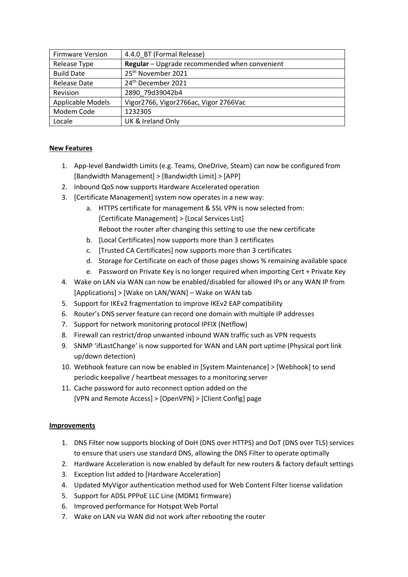| <b>Firmware Version</b> | 4.4.0 BT (Formal Release)                     |
|-------------------------|-----------------------------------------------|
| Release Type            | Regular - Upgrade recommended when convenient |
| <b>Build Date</b>       | 25 <sup>th</sup> November 2021                |
| <b>Release Date</b>     | 24 <sup>th</sup> December 2021                |
| Revision                | 2890 79d39042b4                               |
| Applicable Models       | Vigor2766, Vigor2766ac, Vigor 2766Vac         |
| Modem Code              | 1232305                                       |
| Locale                  | UK & Ireland Only                             |

# **New Features**

- 1. App-level Bandwidth Limits (e.g. Teams, OneDrive, Steam) can now be configured from [Bandwidth Management] > [Bandwidth Limit] > [APP]
- 2. Inbound QoS now supports Hardware Accelerated operation
- 3. [Certificate Management] system now operates in a new way:
	- a. HTTPS certificate for management & SSL VPN is now selected from: [Certificate Management] > [Local Services List] Reboot the router after changing this setting to use the new certificate
	- b. [Local Certificates] now supports more than 3 certificates
	- c. [Trusted CA Certificates] now supports more than 3 certificates
	- d. Storage for Certificate on each of those pages shows % remaining available space
	- e. Password on Private Key is no longer required when importing Cert + Private Key
- 4. Wake on LAN via WAN can now be enabled/disabled for allowed IPs or any WAN IP from [Applications] > [Wake on LAN/WAN] – Wake on WAN tab
- 5. Support for IKEv2 fragmentation to improve IKEv2 EAP compatibility
- 6. Router's DNS server feature can record one domain with multiple IP addresses
- 7. Support for network monitoring protocol IPFIX (Netflow)
- 8. Firewall can restrict/drop unwanted inbound WAN traffic such as VPN requests
- 9. SNMP 'ifLastChange' is now supported for WAN and LAN port uptime (Physical port link up/down detection)
- 10. Webhook feature can now be enabled in [System Maintenance] > [Webhook] to send periodic keepalive / heartbeat messages to a monitoring server
- 11. Cache password for auto reconnect option added on the [VPN and Remote Access] > [OpenVPN] > [Client Config] page

# **Improvements**

- 1. DNS Filter now supports blocking of DoH (DNS over HTTPS) and DoT (DNS over TLS) services to ensure that users use standard DNS, allowing the DNS Filter to operate optimally
- 2. Hardware Acceleration is now enabled by default for new routers & factory default settings
- 3. Exception list added to [Hardware Acceleration]
- 4. Updated MyVigor authentication method used for Web Content Filter license validation
- 5. Support for ADSL PPPoE LLC Line (MDM1 firmware)
- 6. Improved performance for Hotspot Web Portal
- 7. Wake on LAN via WAN did not work after rebooting the router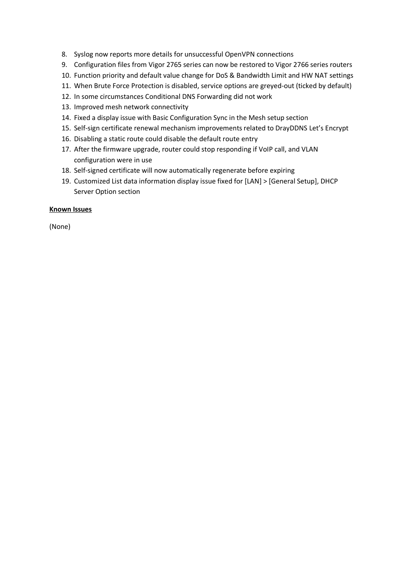- 8. Syslog now reports more details for unsuccessful OpenVPN connections
- 9. Configuration files from Vigor 2765 series can now be restored to Vigor 2766 series routers
- 10. Function priority and default value change for DoS & Bandwidth Limit and HW NAT settings
- 11. When Brute Force Protection is disabled, service options are greyed-out (ticked by default)
- 12. In some circumstances Conditional DNS Forwarding did not work
- 13. Improved mesh network connectivity
- 14. Fixed a display issue with Basic Configuration Sync in the Mesh setup section
- 15. Self-sign certificate renewal mechanism improvements related to DrayDDNS Let's Encrypt
- 16. Disabling a static route could disable the default route entry
- 17. After the firmware upgrade, router could stop responding if VoIP call, and VLAN configuration were in use
- 18. Self-signed certificate will now automatically regenerate before expiring
- 19. Customized List data information display issue fixed for [LAN] > [General Setup], DHCP Server Option section

#### **Known Issues**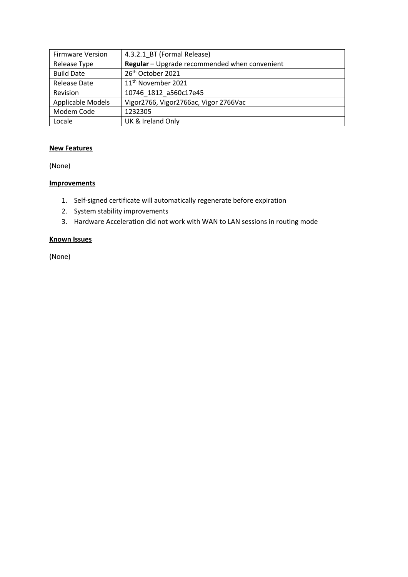| <b>Firmware Version</b> | 4.3.2.1 BT (Formal Release)                   |
|-------------------------|-----------------------------------------------|
| Release Type            | Regular - Upgrade recommended when convenient |
| <b>Build Date</b>       | 26 <sup>th</sup> October 2021                 |
| <b>Release Date</b>     | 11 <sup>th</sup> November 2021                |
| Revision                | 10746 1812 a560c17e45                         |
| Applicable Models       | Vigor2766, Vigor2766ac, Vigor 2766Vac         |
| Modem Code              | 1232305                                       |
| Locale                  | UK & Ireland Only                             |

# **New Features**

(None)

# **Improvements**

- 1. Self-signed certificate will automatically regenerate before expiration
- 2. System stability improvements
- 3. Hardware Acceleration did not work with WAN to LAN sessions in routing mode

# **Known Issues**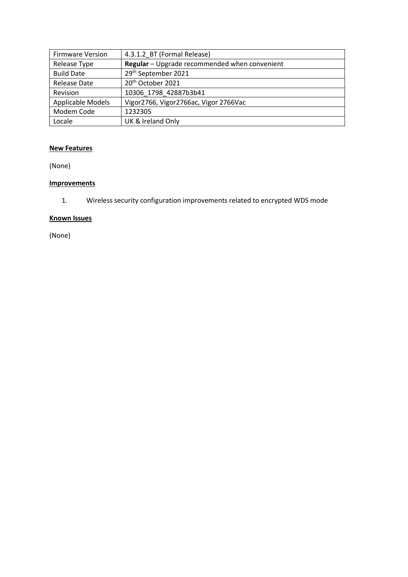| <b>Firmware Version</b> | 4.3.1.2_BT (Formal Release)                   |
|-------------------------|-----------------------------------------------|
| Release Type            | Regular - Upgrade recommended when convenient |
| <b>Build Date</b>       | 29th September 2021                           |
| <b>Release Date</b>     | 20 <sup>th</sup> October 2021                 |
| Revision                | 10306 1798 42887b3b41                         |
| Applicable Models       | Vigor2766, Vigor2766ac, Vigor 2766Vac         |
| Modem Code              | 1232305                                       |
| Locale                  | UK & Ireland Only                             |

# **New Features**

(None)

# **Improvements**

1. Wireless security configuration improvements related to encrypted WDS mode

# **Known Issues**